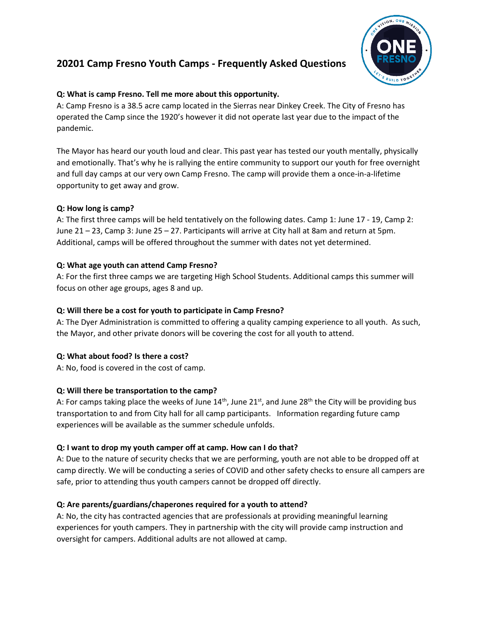# **20201 Camp Fresno Youth Camps - Frequently Asked Questions**



## **Q: What is camp Fresno. Tell me more about this opportunity.**

A: Camp Fresno is a 38.5 acre camp located in the Sierras near Dinkey Creek. The City of Fresno has operated the Camp since the 1920's however it did not operate last year due to the impact of the pandemic.

The Mayor has heard our youth loud and clear. This past year has tested our youth mentally, physically and emotionally. That's why he is rallying the entire community to support our youth for free overnight and full day camps at our very own Camp Fresno. The camp will provide them a once-in-a-lifetime opportunity to get away and grow.

## **Q: How long is camp?**

A: The first three camps will be held tentatively on the following dates. Camp 1: June 17 - 19, Camp 2: June 21 – 23, Camp 3: June 25 – 27. Participants will arrive at City hall at 8am and return at 5pm. Additional, camps will be offered throughout the summer with dates not yet determined.

# **Q: What age youth can attend Camp Fresno?**

A: For the first three camps we are targeting High School Students. Additional camps this summer will focus on other age groups, ages 8 and up.

## **Q: Will there be a cost for youth to participate in Camp Fresno?**

A: The Dyer Administration is committed to offering a quality camping experience to all youth. As such, the Mayor, and other private donors will be covering the cost for all youth to attend.

# **Q: What about food? Is there a cost?**

A: No, food is covered in the cost of camp.

# **Q: Will there be transportation to the camp?**

A: For camps taking place the weeks of June  $14<sup>th</sup>$ , June  $21<sup>st</sup>$ , and June  $28<sup>th</sup>$  the City will be providing bus transportation to and from City hall for all camp participants. Information regarding future camp experiences will be available as the summer schedule unfolds.

# **Q: I want to drop my youth camper off at camp. How can I do that?**

A: Due to the nature of security checks that we are performing, youth are not able to be dropped off at camp directly. We will be conducting a series of COVID and other safety checks to ensure all campers are safe, prior to attending thus youth campers cannot be dropped off directly.

# **Q: Are parents/guardians/chaperones required for a youth to attend?**

A: No, the city has contracted agencies that are professionals at providing meaningful learning experiences for youth campers. They in partnership with the city will provide camp instruction and oversight for campers. Additional adults are not allowed at camp.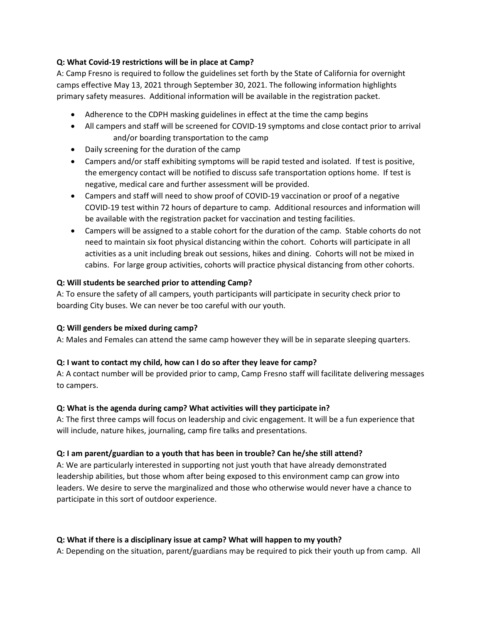## **Q: What Covid-19 restrictions will be in place at Camp?**

A: Camp Fresno is required to follow the guidelines set forth by the State of California for overnight camps effective May 13, 2021 through September 30, 2021. The following information highlights primary safety measures. Additional information will be available in the registration packet.

- Adherence to the CDPH masking guidelines in effect at the time the camp begins
- All campers and staff will be screened for COVID-19 symptoms and close contact prior to arrival and/or boarding transportation to the camp
- Daily screening for the duration of the camp
- Campers and/or staff exhibiting symptoms will be rapid tested and isolated. If test is positive, the emergency contact will be notified to discuss safe transportation options home. If test is negative, medical care and further assessment will be provided.
- Campers and staff will need to show proof of COVID-19 vaccination or proof of a negative COVID-19 test within 72 hours of departure to camp. Additional resources and information will be available with the registration packet for vaccination and testing facilities.
- Campers will be assigned to a stable cohort for the duration of the camp. Stable cohorts do not need to maintain six foot physical distancing within the cohort. Cohorts will participate in all activities as a unit including break out sessions, hikes and dining. Cohorts will not be mixed in cabins. For large group activities, cohorts will practice physical distancing from other cohorts.

### **Q: Will students be searched prior to attending Camp?**

A: To ensure the safety of all campers, youth participants will participate in security check prior to boarding City buses. We can never be too careful with our youth.

#### **Q: Will genders be mixed during camp?**

A: Males and Females can attend the same camp however they will be in separate sleeping quarters.

#### **Q: I want to contact my child, how can I do so after they leave for camp?**

A: A contact number will be provided prior to camp, Camp Fresno staff will facilitate delivering messages to campers.

#### **Q: What is the agenda during camp? What activities will they participate in?**

A: The first three camps will focus on leadership and civic engagement. It will be a fun experience that will include, nature hikes, journaling, camp fire talks and presentations.

## **Q: I am parent/guardian to a youth that has been in trouble? Can he/she still attend?**

A: We are particularly interested in supporting not just youth that have already demonstrated leadership abilities, but those whom after being exposed to this environment camp can grow into leaders. We desire to serve the marginalized and those who otherwise would never have a chance to participate in this sort of outdoor experience.

## **Q: What if there is a disciplinary issue at camp? What will happen to my youth?**

A: Depending on the situation, parent/guardians may be required to pick their youth up from camp. All